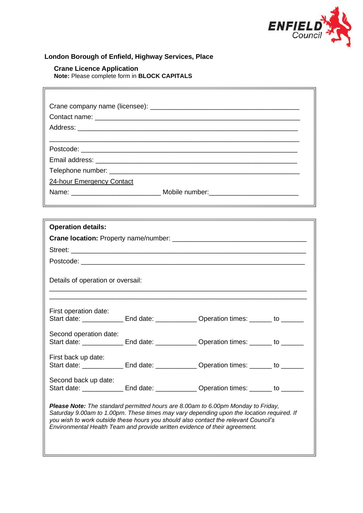

## **London Borough of Enfield, Highway Services, Place**

# **Crane Licence Application**

 $\mathbb{F}$ 

**Note:** Please complete form in **BLOCK CAPITALS**

| <b>24-hour Emergency Contact</b>                            |           |                                                                                                                                                                                                                                                                                                                                                   |    |  |
|-------------------------------------------------------------|-----------|---------------------------------------------------------------------------------------------------------------------------------------------------------------------------------------------------------------------------------------------------------------------------------------------------------------------------------------------------|----|--|
|                                                             |           |                                                                                                                                                                                                                                                                                                                                                   |    |  |
|                                                             |           | <u> 1989 - Andrea Santa Andrea Andrea Andrea Andrea Andrea Andrea Andrea Andrea Andrea Andrea Andrea Andrea Andr</u>                                                                                                                                                                                                                              |    |  |
|                                                             |           | <u> 1989 - Andrea Santa Andrea Andrea Andrea Andrea Andrea Andrea Andrea Andrea Andrea Andrea Andrea Andrea Andr</u>                                                                                                                                                                                                                              |    |  |
| <b>Operation details:</b>                                   |           |                                                                                                                                                                                                                                                                                                                                                   |    |  |
|                                                             |           |                                                                                                                                                                                                                                                                                                                                                   |    |  |
|                                                             |           |                                                                                                                                                                                                                                                                                                                                                   |    |  |
|                                                             |           |                                                                                                                                                                                                                                                                                                                                                   |    |  |
| Details of operation or oversail:                           |           |                                                                                                                                                                                                                                                                                                                                                   |    |  |
| First operation date:                                       |           |                                                                                                                                                                                                                                                                                                                                                   |    |  |
|                                                             |           | Start date: _______________ End date: ______________ Operation times: _______ to _______                                                                                                                                                                                                                                                          |    |  |
| Second operation date:                                      |           |                                                                                                                                                                                                                                                                                                                                                   |    |  |
|                                                             |           | Start date: _______________ End date: ______________ Operation times: _______ to _______                                                                                                                                                                                                                                                          |    |  |
| First back up date:                                         |           |                                                                                                                                                                                                                                                                                                                                                   |    |  |
| Start date:<br>the control of the control of the control of | End date: | Operation times: _                                                                                                                                                                                                                                                                                                                                | to |  |
| Second back up date:                                        |           |                                                                                                                                                                                                                                                                                                                                                   |    |  |
|                                                             |           | Start date: ________________ End date: ______________ Operation times: _______ to _______                                                                                                                                                                                                                                                         |    |  |
|                                                             |           | Please Note: The standard permitted hours are 8.00am to 6.00pm Monday to Friday,<br>Saturday 9.00am to 1.00pm. These times may vary depending upon the location required. If<br>you wish to work outside these hours you should also contact the relevant Council's<br>Environmental Health Team and provide written evidence of their agreement. |    |  |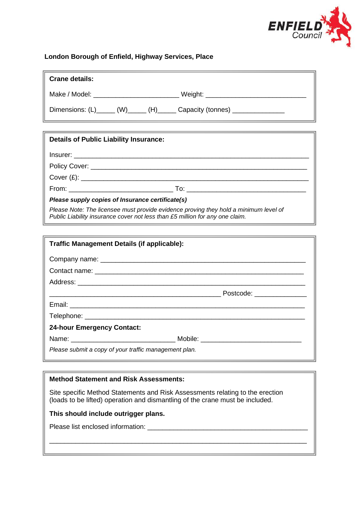

## **London Borough of Enfield, Highway Services, Place**

| Crane details:                                                              |  |
|-----------------------------------------------------------------------------|--|
|                                                                             |  |
| Dimensions: (L)______ (W)______ (H)______ Capacity (tonnes) _______________ |  |

| <b>Details of Public Liability Insurance:</b>                                                                                                                        |  |  |
|----------------------------------------------------------------------------------------------------------------------------------------------------------------------|--|--|
|                                                                                                                                                                      |  |  |
|                                                                                                                                                                      |  |  |
| Cover (E):                                                                                                                                                           |  |  |
|                                                                                                                                                                      |  |  |
| Please supply copies of Insurance certificate(s)                                                                                                                     |  |  |
| Please Note: The licensee must provide evidence proving they hold a minimum level of<br>Public Liability insurance cover not less than £5 million for any one claim. |  |  |

| <b>Traffic Management Details (if applicable):</b>    |                            |  |  |
|-------------------------------------------------------|----------------------------|--|--|
|                                                       |                            |  |  |
|                                                       |                            |  |  |
|                                                       |                            |  |  |
|                                                       | Postcode: ________________ |  |  |
|                                                       |                            |  |  |
|                                                       |                            |  |  |
| <b>24-hour Emergency Contact:</b>                     |                            |  |  |
|                                                       |                            |  |  |
| Please submit a copy of your traffic management plan. |                            |  |  |

## **Method Statement and Risk Assessments:**

Site specific Method Statements and Risk Assessments relating to the erection (loads to be lifted) operation and dismantling of the crane must be included.

\_\_\_\_\_\_\_\_\_\_\_\_\_\_\_\_\_\_\_\_\_\_\_\_\_\_\_\_\_\_\_\_\_\_\_\_\_\_\_\_\_\_\_\_\_\_\_\_\_\_\_\_\_\_\_\_\_\_\_\_\_\_\_\_\_\_\_\_\_

#### **This should include outrigger plans.**

Please list enclosed information: \_\_\_\_\_\_\_\_\_\_\_\_\_\_\_\_\_\_\_\_\_\_\_\_\_\_\_\_\_\_\_\_\_\_\_\_\_\_\_\_\_\_\_